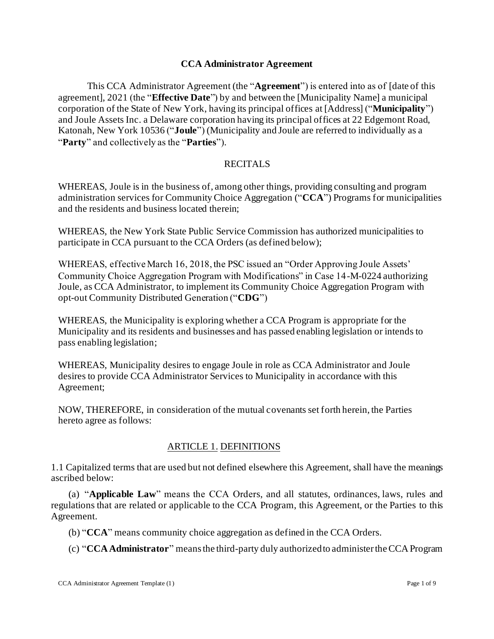#### **CCA Administrator Agreement**

This CCA Administrator Agreement (the "**Agreement**") is entered into as of [date of this agreement], 2021 (the "**Effective Date**") by and between the [Municipality Name] a municipal corporation of the State of New York, having its principal offices at [Address] ("**Municipality**") and Joule Assets Inc. a Delaware corporation having its principal offices at 22 Edgemont Road, Katonah, New York 10536 ("**Joule**") (Municipality and Joule are referred to individually as a "**Party**" and collectively as the "**Parties**").

#### RECITALS

WHEREAS, Joule is in the business of, among other things, providing consulting and program administration services for Community Choice Aggregation ("**CCA**") Programs for municipalities and the residents and business located therein;

WHEREAS, the New York State Public Service Commission has authorized municipalities to participate in CCA pursuant to the CCA Orders (as defined below);

WHEREAS, effective March 16, 2018, the PSC issued an "Order Approving Joule Assets' Community Choice Aggregation Program with Modifications" in Case 14-M-0224 authorizing Joule, as CCA Administrator, to implement its Community Choice Aggregation Program with opt-out Community Distributed Generation ("**CDG**")

WHEREAS, the Municipality is exploring whether a CCA Program is appropriate for the Municipality and its residents and businesses and has passed enabling legislation or intends to pass enabling legislation;

WHEREAS, Municipality desires to engage Joule in role as CCA Administrator and Joule desires to provide CCA Administrator Services to Municipality in accordance with this Agreement;

NOW, THEREFORE, in consideration of the mutual covenants set forth herein, the Parties hereto agree as follows:

### ARTICLE 1. DEFINITIONS

1.1 Capitalized terms that are used but not defined elsewhere this Agreement, shall have the meanings ascribed below:

(a) "**Applicable Law**" means the CCA Orders, and all statutes, ordinances, laws, rules and regulations that are related or applicable to the CCA Program, this Agreement, or the Parties to this Agreement.

(b) "**CCA**" means community choice aggregation as defined in the CCA Orders.

(c) "**CCA Administrator**" means the third-party duly authorized to administer the CCA Program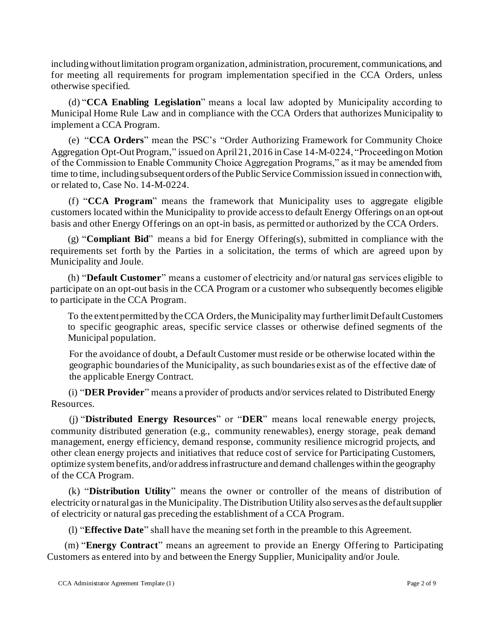including without limitation program organization, administration, procurement, communications, and for meeting all requirements for program implementation specified in the CCA Orders, unless otherwise specified.

(d) "**CCA Enabling Legislation**" means a local law adopted by Municipality according to Municipal Home Rule Law and in compliance with the CCA Orders that authorizes Municipality to implement a CCA Program.

(e) "**CCA Orders**" mean the PSC's "Order Authorizing Framework for Community Choice Aggregation Opt-Out Program," issued on April 21, 2016 in Case 14-M-0224, "Proceeding on Motion of the Commission to Enable Community Choice Aggregation Programs," as it may be amended from time to time, including subsequent orders of the Public Service Commission issued in connection with, or related to, Case No. 14-M-0224.

(f) "**CCA Program**" means the framework that Municipality uses to aggregate eligible customers located within the Municipality to provide access to default Energy Offerings on an opt-out basis and other Energy Offerings on an opt-in basis, as permitted or authorized by the CCA Orders.

(g) "**Compliant Bid**" means a bid for Energy Offering(s), submitted in compliance with the requirements set forth by the Parties in a solicitation, the terms of which are agreed upon by Municipality and Joule.

(h) "**Default Customer**" means a customer of electricity and/or natural gas services eligible to participate on an opt-out basis in the CCA Program or a customer who subsequently becomes eligible to participate in the CCA Program.

To the extent permitted by the CCA Orders, the Municipality may further limit Default Customers to specific geographic areas, specific service classes or otherwise defined segments of the Municipal population.

For the avoidance of doubt, a Default Customer must reside or be otherwise located within the geographic boundaries of the Municipality, as such boundaries exist as of the effective date of the applicable Energy Contract.

(i) "**DER Provider**" means a provider of products and/or services related to Distributed Energy Resources.

(j) "**Distributed Energy Resources**" or "**DER**" means local renewable energy projects, community distributed generation (e.g., community renewables), energy storage, peak demand management, energy efficiency, demand response, community resilience microgrid projects, and other clean energy projects and initiatives that reduce cost of service for Participating Customers, optimize system benefits, and/or address infrastructure and demand challenges within the geography of the CCA Program.

(k) "**Distribution Utility**" means the owner or controller of the means of distribution of electricity or natural gas in the Municipality. The Distribution Utility also serves as the default supplier of electricity or natural gas preceding the establishment of a CCA Program.

(l) "**Effective Date**" shall have the meaning set forth in the preamble to this Agreement.

(m) "**Energy Contract**" means an agreement to provide an Energy Offering to Participating Customers as entered into by and between the Energy Supplier, Municipality and/or Joule.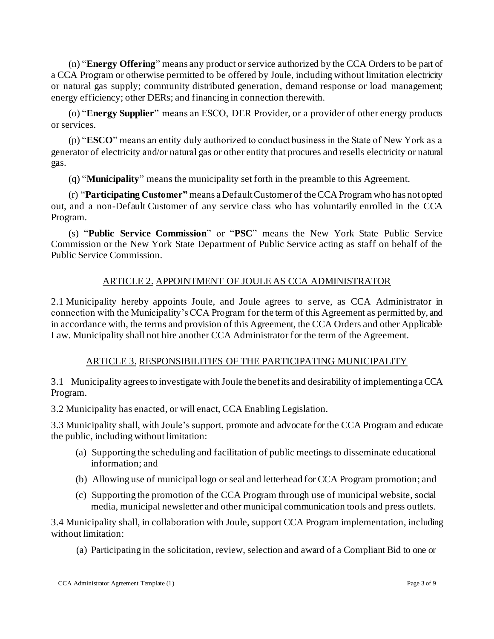(n) "**Energy Offering**" means any product or service authorized by the CCA Orders to be part of a CCA Program or otherwise permitted to be offered by Joule, including without limitation electricity or natural gas supply; community distributed generation, demand response or load management; energy efficiency; other DERs; and financing in connection therewith.

(o) "**Energy Supplier**" means an ESCO, DER Provider, or a provider of other energy products or services.

(p) "**ESCO**" means an entity duly authorized to conduct business in the State of New York as a generator of electricity and/or natural gas or other entity that procures and resells electricity or natural gas.

(q) "**Municipality**" means the municipality set forth in the preamble to this Agreement.

(r) "**Participating Customer"** means a Default Customer of the CCA Program who has not opted out, and a non-Default Customer of any service class who has voluntarily enrolled in the CCA Program.

(s) "**Public Service Commission**" or "**PSC**" means the New York State Public Service Commission or the New York State Department of Public Service acting as staff on behalf of the Public Service Commission.

# ARTICLE 2. APPOINTMENT OF JOULE AS CCA ADMINISTRATOR

2.1 Municipality hereby appoints Joule, and Joule agrees to serve, as CCA Administrator in connection with the Municipality's CCA Program for the term of this Agreement as permitted by, and in accordance with, the terms and provision of this Agreement, the CCA Orders and other Applicable Law. Municipality shall not hire another CCA Administrator for the term of the Agreement.

# ARTICLE 3. RESPONSIBILITIES OF THE PARTICIPATING MUNICIPALITY

3.1 Municipality agrees to investigate with Joule the benefits and desirability of implementing a CCA Program.

3.2 Municipality has enacted, or will enact, CCA Enabling Legislation.

3.3 Municipality shall, with Joule's support, promote and advocate for the CCA Program and educate the public, including without limitation:

- (a) Supporting the scheduling and facilitation of public meetings to disseminate educational information; and
- (b) Allowing use of municipal logo or seal and letterhead for CCA Program promotion; and
- (c) Supporting the promotion of the CCA Program through use of municipal website, social media, municipal newsletter and other municipal communication tools and press outlets.

3.4 Municipality shall, in collaboration with Joule, support CCA Program implementation, including without limitation:

(a) Participating in the solicitation, review, selection and award of a Compliant Bid to one or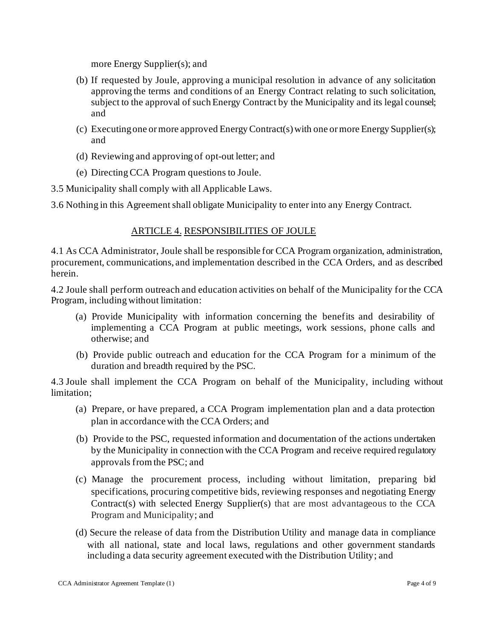more Energy Supplier(s); and

- (b) If requested by Joule, approving a municipal resolution in advance of any solicitation approving the terms and conditions of an Energy Contract relating to such solicitation, subject to the approval of such Energy Contract by the Municipality and its legal counsel; and
- (c) Executing one or more approved Energy Contract(s) with one or more Energy Supplier(s); and
- (d) Reviewing and approving of opt-out letter; and
- (e) Directing CCA Program questions to Joule.
- 3.5 Municipality shall comply with all Applicable Laws.

3.6 Nothing in this Agreement shall obligate Municipality to enter into any Energy Contract.

#### ARTICLE 4. RESPONSIBILITIES OF JOULE

4.1 As CCA Administrator, Joule shall be responsible for CCA Program organization, administration, procurement, communications, and implementation described in the CCA Orders, and as described herein.

4.2 Joule shall perform outreach and education activities on behalf of the Municipality for the CCA Program, including without limitation:

- (a) Provide Municipality with information concerning the benefits and desirability of implementing a CCA Program at public meetings, work sessions, phone calls and otherwise; and
- (b) Provide public outreach and education for the CCA Program for a minimum of the duration and breadth required by the PSC.

4.3 Joule shall implement the CCA Program on behalf of the Municipality, including without limitation;

- (a) Prepare, or have prepared, a CCA Program implementation plan and a data protection plan in accordance with the CCA Orders; and
- (b) Provide to the PSC, requested information and documentation of the actions undertaken by the Municipality in connection with the CCA Program and receive required regulatory approvals from the PSC; and
- (c) Manage the procurement process, including without limitation, preparing bid specifications, procuring competitive bids, reviewing responses and negotiating Energy Contract(s) with selected Energy Supplier(s) that are most advantageous to the CCA Program and Municipality; and
- (d) Secure the release of data from the Distribution Utility and manage data in compliance with all national, state and local laws, regulations and other government standards including a data security agreement executed with the Distribution Utility; and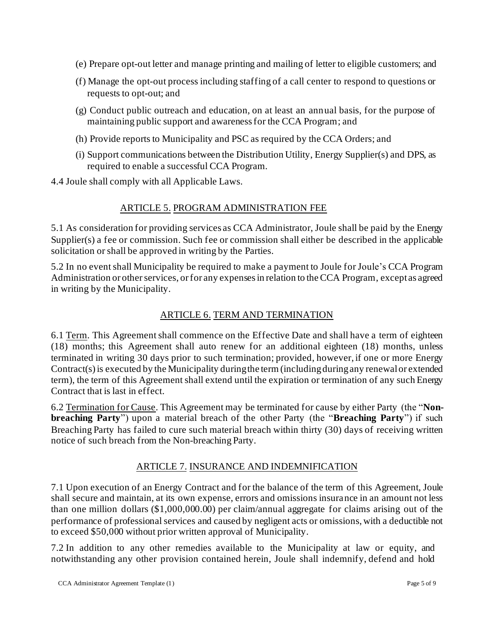- (e) Prepare opt-out letter and manage printing and mailing of letter to eligible customers; and
- (f) Manage the opt-out process including staffing of a call center to respond to questions or requests to opt-out; and
- (g) Conduct public outreach and education, on at least an annual basis, for the purpose of maintaining public support and awareness for the CCA Program; and
- (h) Provide reports to Municipality and PSC as required by the CCA Orders; and
- (i) Support communications between the Distribution Utility, Energy Supplier(s) and DPS, as required to enable a successful CCA Program.

4.4 Joule shall comply with all Applicable Laws.

### ARTICLE 5. PROGRAM ADMINISTRATION FEE

5.1 As consideration for providing services as CCA Administrator, Joule shall be paid by the Energy Supplier(s) a fee or commission. Such fee or commission shall either be described in the applicable solicitation or shall be approved in writing by the Parties.

5.2 In no event shall Municipality be required to make a payment to Joule for Joule's CCA Program Administration or other services, or for any expenses in relation to the CCA Program, except as agreed in writing by the Municipality.

## ARTICLE 6. TERM AND TERMINATION

6.1 Term. This Agreement shall commence on the Effective Date and shall have a term of eighteen (18) months; this Agreement shall auto renew for an additional eighteen (18) months, unless terminated in writing 30 days prior to such termination; provided, however, if one or more Energy Contract(s)is executed by the Municipality during the term (includingduringany renewal or extended term), the term of this Agreement shall extend until the expiration or termination of any such Energy Contract that is last in effect.

6.2 Termination for Cause. This Agreement may be terminated for cause by either Party (the "**Nonbreaching Party**") upon a material breach of the other Party (the "**Breaching Party**") if such Breaching Party has failed to cure such material breach within thirty (30) days of receiving written notice of such breach from the Non-breaching Party.

### ARTICLE 7. INSURANCE AND INDEMNIFICATION

7.1 Upon execution of an Energy Contract and for the balance of the term of this Agreement, Joule shall secure and maintain, at its own expense, errors and omissions insurance in an amount not less than one million dollars (\$1,000,000.00) per claim/annual aggregate for claims arising out of the performance of professional services and caused by negligent acts or omissions, with a deductible not to exceed \$50,000 without prior written approval of Municipality.

7.2 In addition to any other remedies available to the Municipality at law or equity, and notwithstanding any other provision contained herein, Joule shall indemnify, defend and hold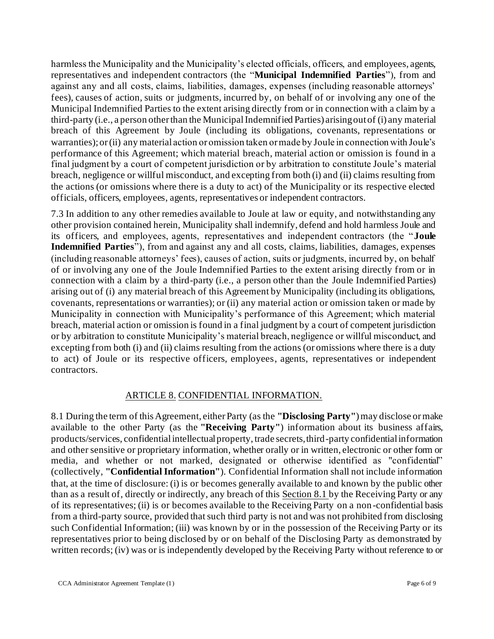harmless the Municipality and the Municipality's elected officials, officers, and employees, agents, representatives and independent contractors (the "**Municipal Indemnified Parties**"), from and against any and all costs, claims, liabilities, damages, expenses (including reasonable attorneys' fees), causes of action, suits or judgments, incurred by, on behalf of or involving any one of the Municipal Indemnified Parties to the extent arising directly from or in connection with a claim by a third-party (i.e., a person other than the Municipal Indemnified Parties) arising out of (i) any material breach of this Agreement by Joule (including its obligations, covenants, representations or warranties); or (ii) any material action or omission taken or made by Joule in connection with Joule's performance of this Agreement; which material breach, material action or omission is found in a final judgment by a court of competent jurisdiction or by arbitration to constitute Joule's material breach, negligence or willful misconduct, and excepting from both (i) and (ii) claims resulting from the actions (or omissions where there is a duty to act) of the Municipality or its respective elected officials, officers, employees, agents, representatives or independent contractors.

7.3 In addition to any other remedies available to Joule at law or equity, and notwithstanding any other provision contained herein, Municipality shall indemnify, defend and hold harmless Joule and its officers, and employees, agents, representatives and independent contractors (the "**Joule Indemnified Parties**"), from and against any and all costs, claims, liabilities, damages, expenses (including reasonable attorneys' fees), causes of action, suits or judgments, incurred by, on behalf of or involving any one of the Joule Indemnified Parties to the extent arising directly from or in connection with a claim by a third-party (i.e., a person other than the Joule Indemnified Parties) arising out of (i) any material breach of this Agreement by Municipality (including its obligations, covenants, representations or warranties); or (ii) any material action or omission taken or made by Municipality in connection with Municipality's performance of this Agreement; which material breach, material action or omission is found in a final judgment by a court of competent jurisdiction or by arbitration to constitute Municipality's material breach, negligence or willful misconduct, and excepting from both (i) and (ii) claims resulting from the actions (or omissions where there is a duty to act) of Joule or its respective officers, employees, agents, representatives or independent contractors.

### ARTICLE 8. CONFIDENTIAL INFORMATION.

<span id="page-5-1"></span><span id="page-5-0"></span>8.1 During the term of this Agreement, either Party (as the **"Disclosing Party"**) may disclose or make available to the other Party (as the **"Receiving Party"**) information about its business affairs, products/services, confidential intellectual property, trade secrets, third-party confidential information and other sensitive or proprietary information, whether orally or in written, electronic or other form or media, and whether or not marked, designated or otherwise identified as "confidential" (collectively, **"Confidential Information"**). Confidential Information shall not include information that, at the time of disclosure: (i) is or becomes generally available to and known by the public other than as a result of, directly or indirectly, any breach of this Section [8.1](#page-5-0) by the Receiving Party or any of its representatives; (ii) is or becomes available to the Receiving Party on a non-confidential basis from a third-party source, provided that such third party is not and was not prohibited from disclosing such Confidential Information; (iii) was known by or in the possession of the Receiving Party or its representatives prior to being disclosed by or on behalf of the Disclosing Party as demonstrated by written records; (iv) was or is independently developed by the Receiving Party without reference to or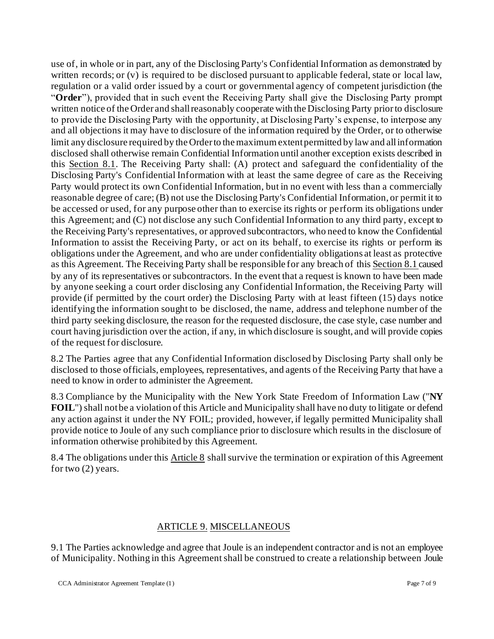use of, in whole or in part, any of the Disclosing Party's Confidential Information as demonstrated by written records; or (v) is required to be disclosed pursuant to applicable federal, state or local law, regulation or a valid order issued by a court or governmental agency of competent jurisdiction (the "**Order**"), provided that in such event the Receiving Party shall give the Disclosing Party prompt written notice of the Order and shall reasonably cooperate with the Disclosing Party prior to disclosure to provide the Disclosing Party with the opportunity, at Disclosing Party's expense, to interpose any and all objections it may have to disclosure of the information required by the Order, or to otherwise limit any disclosure required by the Order to the maximum extent permitted by law and all information disclosed shall otherwise remain Confidential Information until another exception exists described in this Section [8.1.](#page-5-0) The Receiving Party shall: (A) protect and safeguard the confidentiality of the Disclosing Party's Confidential Information with at least the same degree of care as the Receiving Party would protect its own Confidential Information, but in no event with less than a commercially reasonable degree of care; (B) not use the Disclosing Party's Confidential Information, or permit it to be accessed or used, for any purpose other than to exercise its rights or perform its obligations under this Agreement; and (C) not disclose any such Confidential Information to any third party, except to the Receiving Party's representatives, or approved subcontractors, who need to know the Confidential Information to assist the Receiving Party, or act on its behalf, to exercise its rights or perform its obligations under the Agreement, and who are under confidentiality obligations at least as protective as this Agreement. The Receiving Party shall be responsible for any breach of this Sectio[n 8.1](#page-5-0) caused by any of its representatives or subcontractors. In the event that a request is known to have been made by anyone seeking a court order disclosing any Confidential Information, the Receiving Party will provide (if permitted by the court order) the Disclosing Party with at least fifteen (15) days notice identifying the information sought to be disclosed, the name, address and telephone number of the third party seeking disclosure, the reason for the requested disclosure, the case style, case number and court having jurisdiction over the action, if any, in which disclosure is sought, and will provide copies of the request for disclosure.

8.2 The Parties agree that any Confidential Information disclosed by Disclosing Party shall only be disclosed to those officials, employees, representatives, and agents of the Receiving Party that have a need to know in order to administer the Agreement.

8.3 Compliance by the Municipality with the New York State Freedom of Information Law ("**NY FOIL**") shall not be a violation of this Article and Municipality shall have no duty to litigate or defend any action against it under the NY FOIL; provided, however, if legally permitted Municipality shall provide notice to Joule of any such compliance prior to disclosure which results in the disclosure of information otherwise prohibited by this Agreement.

8.4 The obligations under thi[s Article 8](#page-5-1) shall survive the termination or expiration of this Agreement for two  $(2)$  years.

### ARTICLE 9. MISCELLANEOUS

9.1 The Parties acknowledge and agree that Joule is an independent contractor and is not an employee of Municipality. Nothing in this Agreement shall be construed to create a relationship between Joule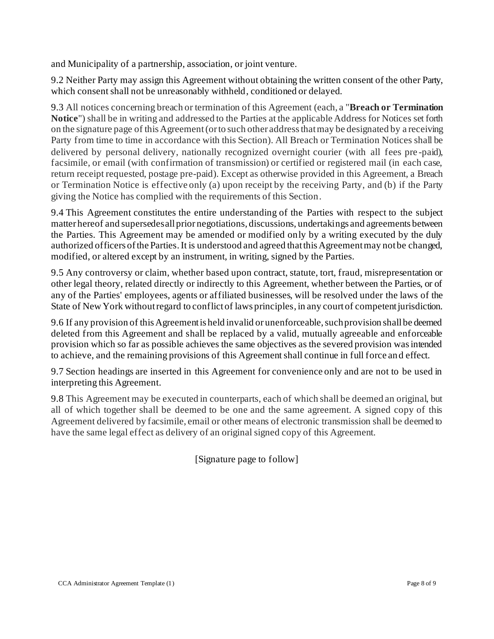and Municipality of a partnership, association, or joint venture.

9.2 Neither Party may assign this Agreement without obtaining the written consent of the other Party, which consent shall not be unreasonably withheld, conditioned or delayed.

9.3 All notices concerning breach or termination of this Agreement (each, a "**Breach or Termination Notice**") shall be in writing and addressed to the Parties at the applicable Address for Notices set forth on the signature page of this Agreement(or to such other address that may be designated by a receiving Party from time to time in accordance with this Section). All Breach or Termination Notices shall be delivered by personal delivery, nationally recognized overnight courier (with all fees pre -paid), facsimile, or email (with confirmation of transmission) or certified or registered mail (in each case, return receipt requested, postage pre-paid). Except as otherwise provided in this Agreement, a Breach or Termination Notice is effective only (a) upon receipt by the receiving Party, and (b) if the Party giving the Notice has complied with the requirements of this Section.

9.4 This Agreement constitutes the entire understanding of the Parties with respect to the subject matter hereof and supersedes all prior negotiations, discussions, undertakings and agreements between the Parties. This Agreement may be amended or modified only by a writing executed by the duly authorized officers of the Parties. It is understood and agreed that this Agreement may not be changed, modified, or altered except by an instrument, in writing, signed by the Parties.

9.5 Any controversy or claim, whether based upon contract, statute, tort, fraud, misrepresentation or other legal theory, related directly or indirectly to this Agreement, whether between the Parties, or of any of the Parties' employees, agents or affiliated businesses, will be resolved under the laws of the State of New York without regard to conflict of laws principles, in any court of competent jurisdiction.

9.6 If any provision of this Agreement is held invalid or unenforceable, such provision shall be deemed deleted from this Agreement and shall be replaced by a valid, mutually agreeable and enforceable provision which so far as possible achieves the same objectives as the severed provision was intended to achieve, and the remaining provisions of this Agreement shall continue in full force and effect.

9.7 Section headings are inserted in this Agreement for convenience only and are not to be used in interpreting this Agreement.

9.8 This Agreement may be executed in counterparts, each of which shall be deemed an original, but all of which together shall be deemed to be one and the same agreement. A signed copy of this Agreement delivered by facsimile, email or other means of electronic transmission shall be deemed to have the same legal effect as delivery of an original signed copy of this Agreement.

[Signature page to follow]